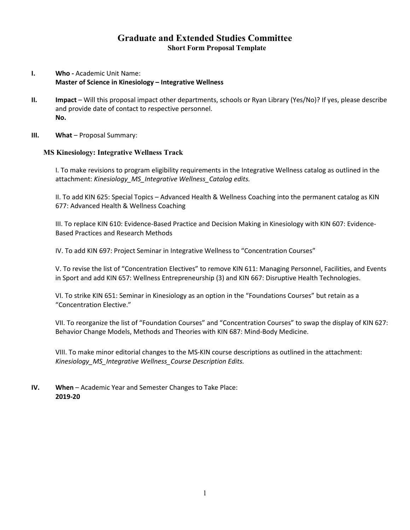## **Graduate and Extended Studies Committee Short Form Proposal Template**

## **I. Who -** Academic Unit Name: **Master of Science in Kinesiology – Integrative Wellness**

- **II. Impact** Will this proposal impact other departments, schools or Ryan Library (Yes/No)? If yes, please describe and provide date of contact to respective personnel. **No.**
- **III. What** Proposal Summary:

## **MS Kinesiology: Integrative Wellness Track**

I. To make revisions to program eligibility requirements in the Integrative Wellness catalog as outlined in the attachment: *Kinesiology\_MS\_Integrative Wellness\_Catalog edits.*

II. To add KIN 625: Special Topics – Advanced Health & Wellness Coaching into the permanent catalog as KIN 677: Advanced Health & Wellness Coaching

III. To replace KIN 610: Evidence-Based Practice and Decision Making in Kinesiology with KIN 607: Evidence-Based Practices and Research Methods

IV. To add KIN 697: Project Seminar in Integrative Wellness to "Concentration Courses"

V. To revise the list of "Concentration Electives" to remove KIN 611: Managing Personnel, Facilities, and Events in Sport and add KIN 657: Wellness Entrepreneurship (3) and KIN 667: Disruptive Health Technologies.

VI. To strike KIN 651: Seminar in Kinesiology as an option in the "Foundations Courses" but retain as a "Concentration Elective."

VII. To reorganize the list of "Foundation Courses" and "Concentration Courses" to swap the display of KIN 627: Behavior Change Models, Methods and Theories with KIN 687: Mind-Body Medicine.

VIII. To make minor editorial changes to the MS-KIN course descriptions as outlined in the attachment: *Kinesiology\_MS\_Integrative Wellness\_Course Description Edits.*

**IV. When** – Academic Year and Semester Changes to Take Place: **2019-20**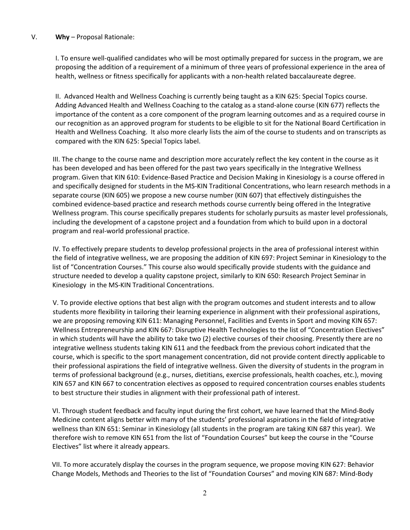## V. **Why** – Proposal Rationale:

I. To ensure well-qualified candidates who will be most optimally prepared for success in the program, we are proposing the addition of a requirement of a minimum of three years of professional experience in the area of health, wellness or fitness specifically for applicants with a non-health related baccalaureate degree.

II. Advanced Health and Wellness Coaching is currently being taught as a KIN 625: Special Topics course. Adding Advanced Health and Wellness Coaching to the catalog as a stand-alone course (KIN 677) reflects the importance of the content as a core component of the program learning outcomes and as a required course in our recognition as an approved program for students to be eligible to sit for the National Board Certification in Health and Wellness Coaching. It also more clearly lists the aim of the course to students and on transcripts as compared with the KIN 625: Special Topics label.

III. The change to the course name and description more accurately reflect the key content in the course as it has been developed and has been offered for the past two years specifically in the Integrative Wellness program. Given that KIN 610: Evidence-Based Practice and Decision Making in Kinesiology is a course offered in and specifically designed for students in the MS-KIN Traditional Concentrations, who learn research methods in a separate course (KIN 605) we propose a new course number (KIN 607) that effectively distinguishes the combined evidence-based practice and research methods course currently being offered in the Integrative Wellness program. This course specifically prepares students for scholarly pursuits as master level professionals, including the development of a capstone project and a foundation from which to build upon in a doctoral program and real-world professional practice.

IV. To effectively prepare students to develop professional projects in the area of professional interest within the field of integrative wellness, we are proposing the addition of KIN 697: Project Seminar in Kinesiology to the list of "Concentration Courses." This course also would specifically provide students with the guidance and structure needed to develop a quality capstone project, similarly to KIN 650: Research Project Seminar in Kinesiology in the MS-KIN Traditional Concentrations.

V. To provide elective options that best align with the program outcomes and student interests and to allow students more flexibility in tailoring their learning experience in alignment with their professional aspirations, we are proposing removing KIN 611: Managing Personnel, Facilities and Events in Sport and moving KIN 657: Wellness Entrepreneurship and KIN 667: Disruptive Health Technologies to the list of "Concentration Electives" in which students will have the ability to take two (2) elective courses of their choosing. Presently there are no integrative wellness students taking KIN 611 and the feedback from the previous cohort indicated that the course, which is specific to the sport management concentration, did not provide content directly applicable to their professional aspirations the field of integrative wellness. Given the diversity of students in the program in terms of professional background (e.g., nurses, dietitians, exercise professionals, health coaches, etc.), moving KIN 657 and KIN 667 to concentration electives as opposed to required concentration courses enables students to best structure their studies in alignment with their professional path of interest.

VI. Through student feedback and faculty input during the first cohort, we have learned that the Mind-Body Medicine content aligns better with many of the students' professional aspirations in the field of integrative wellness than KIN 651: Seminar in Kinesiology (all students in the program are taking KIN 687 this year). We therefore wish to remove KIN 651 from the list of "Foundation Courses" but keep the course in the "Course Electives" list where it already appears.

VII. To more accurately display the courses in the program sequence, we propose moving KIN 627: Behavior Change Models, Methods and Theories to the list of "Foundation Courses" and moving KIN 687: Mind-Body